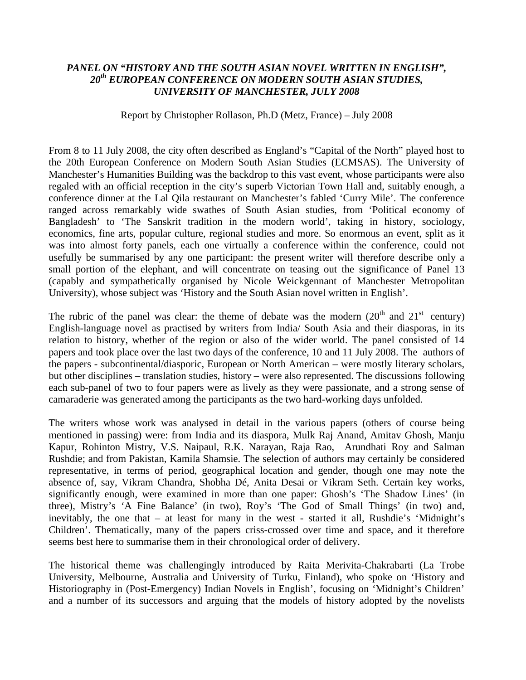## *PANEL ON "HISTORY AND THE SOUTH ASIAN NOVEL WRITTEN IN ENGLISH", 20th EUROPEAN CONFERENCE ON MODERN SOUTH ASIAN STUDIES, UNIVERSITY OF MANCHESTER, JULY 2008*

Report by Christopher Rollason, Ph.D (Metz, France) – July 2008

From 8 to 11 July 2008, the city often described as England's "Capital of the North" played host to the 20th European Conference on Modern South Asian Studies (ECMSAS). The University of Manchester's Humanities Building was the backdrop to this vast event, whose participants were also regaled with an official reception in the city's superb Victorian Town Hall and, suitably enough, a conference dinner at the Lal Qila restaurant on Manchester's fabled 'Curry Mile'. The conference ranged across remarkably wide swathes of South Asian studies, from 'Political economy of Bangladesh' to 'The Sanskrit tradition in the modern world', taking in history, sociology, economics, fine arts, popular culture, regional studies and more. So enormous an event, split as it was into almost forty panels, each one virtually a conference within the conference, could not usefully be summarised by any one participant: the present writer will therefore describe only a small portion of the elephant, and will concentrate on teasing out the significance of Panel 13 (capably and sympathetically organised by Nicole Weickgennant of Manchester Metropolitan University), whose subject was 'History and the South Asian novel written in English'.

The rubric of the panel was clear: the theme of debate was the modern  $(20<sup>th</sup>$  and  $21<sup>st</sup>$  century) English-language novel as practised by writers from India/ South Asia and their diasporas, in its relation to history, whether of the region or also of the wider world. The panel consisted of 14 papers and took place over the last two days of the conference, 10 and 11 July 2008. The authors of the papers - subcontinental/diasporic, European or North American – were mostly literary scholars, but other disciplines – translation studies, history – were also represented. The discussions following each sub-panel of two to four papers were as lively as they were passionate, and a strong sense of camaraderie was generated among the participants as the two hard-working days unfolded.

The writers whose work was analysed in detail in the various papers (others of course being mentioned in passing) were: from India and its diaspora, Mulk Raj Anand, Amitav Ghosh, Manju Kapur, Rohinton Mistry, V.S. Naipaul, R.K. Narayan, Raja Rao, Arundhati Roy and Salman Rushdie; and from Pakistan, Kamila Shamsie. The selection of authors may certainly be considered representative, in terms of period, geographical location and gender, though one may note the absence of, say, Vikram Chandra, Shobha Dé, Anita Desai or Vikram Seth. Certain key works, significantly enough, were examined in more than one paper: Ghosh's 'The Shadow Lines' (in three), Mistry's 'A Fine Balance' (in two), Roy's 'The God of Small Things' (in two) and, inevitably, the one that – at least for many in the west - started it all, Rushdie's 'Midnight's Children'. Thematically, many of the papers criss-crossed over time and space, and it therefore seems best here to summarise them in their chronological order of delivery.

The historical theme was challengingly introduced by Raita Merivita-Chakrabarti (La Trobe University, Melbourne, Australia and University of Turku, Finland), who spoke on 'History and Historiography in (Post-Emergency) Indian Novels in English', focusing on 'Midnight's Children' and a number of its successors and arguing that the models of history adopted by the novelists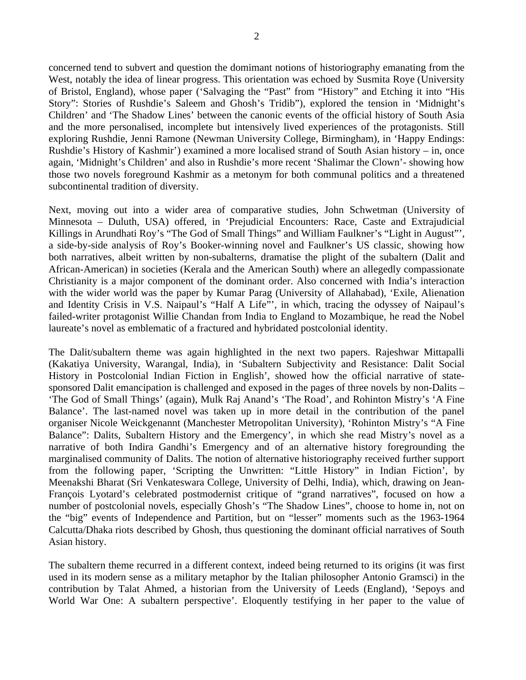concerned tend to subvert and question the domimant notions of historiography emanating from the West, notably the idea of linear progress. This orientation was echoed by Susmita Roye (University of Bristol, England), whose paper ('Salvaging the "Past" from "History" and Etching it into "His Story": Stories of Rushdie's Saleem and Ghosh's Tridib"), explored the tension in 'Midnight's Children' and 'The Shadow Lines' between the canonic events of the official history of South Asia and the more personalised, incomplete but intensively lived experiences of the protagonists. Still exploring Rushdie, Jenni Ramone (Newman University College, Birmingham), in 'Happy Endings: Rushdie's History of Kashmir') examined a more localised strand of South Asian history – in, once again, 'Midnight's Children' and also in Rushdie's more recent 'Shalimar the Clown'- showing how those two novels foreground Kashmir as a metonym for both communal politics and a threatened subcontinental tradition of diversity.

Next, moving out into a wider area of comparative studies, John Schwetman (University of Minnesota – Duluth, USA) offered, in 'Prejudicial Encounters: Race, Caste and Extrajudicial Killings in Arundhati Roy's "The God of Small Things" and William Faulkner's "Light in August"', a side-by-side analysis of Roy's Booker-winning novel and Faulkner's US classic, showing how both narratives, albeit written by non-subalterns, dramatise the plight of the subaltern (Dalit and African-American) in societies (Kerala and the American South) where an allegedly compassionate Christianity is a major component of the dominant order. Also concerned with India's interaction with the wider world was the paper by Kumar Parag (University of Allahabad), 'Exile, Alienation and Identity Crisis in V.S. Naipaul's "Half A Life"', in which, tracing the odyssey of Naipaul's failed-writer protagonist Willie Chandan from India to England to Mozambique, he read the Nobel laureate's novel as emblematic of a fractured and hybridated postcolonial identity.

The Dalit/subaltern theme was again highlighted in the next two papers. Rajeshwar Mittapalli (Kakatiya University, Warangal, India), in 'Subaltern Subjectivity and Resistance: Dalit Social History in Postcolonial Indian Fiction in English', showed how the official narrative of statesponsored Dalit emancipation is challenged and exposed in the pages of three novels by non-Dalits – 'The God of Small Things' (again), Mulk Raj Anand's 'The Road', and Rohinton Mistry's 'A Fine Balance'. The last-named novel was taken up in more detail in the contribution of the panel organiser Nicole Weickgenannt (Manchester Metropolitan University), 'Rohinton Mistry's "A Fine Balance": Dalits, Subaltern History and the Emergency', in which she read Mistry's novel as a narrative of both Indira Gandhi's Emergency and of an alternative history foregrounding the marginalised community of Dalits. The notion of alternative historiography received further support from the following paper, 'Scripting the Unwritten: "Little History" in Indian Fiction', by Meenakshi Bharat (Sri Venkateswara College, University of Delhi, India), which, drawing on Jean-François Lyotard's celebrated postmodernist critique of "grand narratives", focused on how a number of postcolonial novels, especially Ghosh's "The Shadow Lines", choose to home in, not on the "big" events of Independence and Partition, but on "lesser" moments such as the 1963-1964 Calcutta/Dhaka riots described by Ghosh, thus questioning the dominant official narratives of South Asian history.

The subaltern theme recurred in a different context, indeed being returned to its origins (it was first used in its modern sense as a military metaphor by the Italian philosopher Antonio Gramsci) in the contribution by Talat Ahmed, a historian from the University of Leeds (England), 'Sepoys and World War One: A subaltern perspective'. Eloquently testifying in her paper to the value of